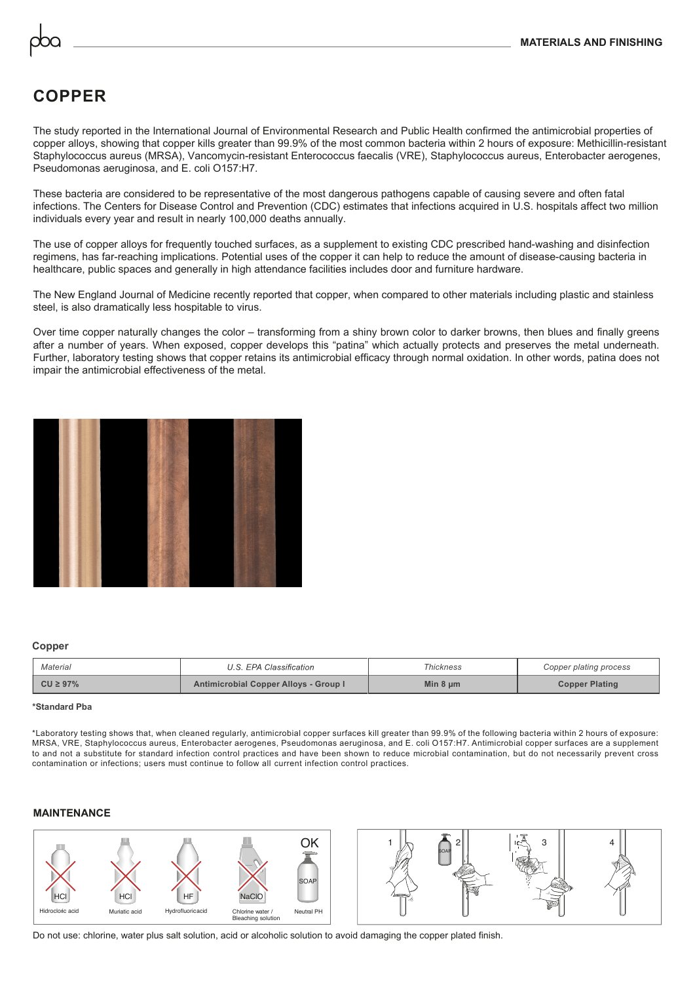# **COPPER**

The study reported in the International Journal of Environmental Research and Public Health confirmed the antimicrobial properties of copper alloys, showing that copper kills greater than 99.9% of the most common bacteria within 2 hours of exposure: Methicillin-resistant Staphylococcus aureus (MRSA), Vancomycin-resistant Enterococcus faecalis (VRE), Staphylococcus aureus, Enterobacter aerogenes, Pseudomonas aeruginosa, and E. coli O157:H7.

These bacteria are considered to be representative of the most dangerous pathogens capable of causing severe and often fatal infections. The Centers for Disease Control and Prevention (CDC) estimates that infections acquired in U.S. hospitals affect two million individuals every year and result in nearly 100,000 deaths annually.

The use of copper alloys for frequently touched surfaces, as a supplement to existing CDC prescribed hand-washing and disinfection regimens, has far-reaching implications. Potential uses of the copper it can help to reduce the amount of disease-causing bacteria in healthcare, public spaces and generally in high attendance facilities includes door and furniture hardware.

The New England Journal of Medicine recently reported that copper, when compared to other materials including plastic and stainless steel, is also dramatically less hospitable to virus.

Over time copper naturally changes the color – transforming from a shiny brown color to darker browns, then blues and finally greens after a number of years. When exposed, copper develops this "patina" which actually protects and preserves the metal underneath. Further, laboratory testing shows that copper retains its antimicrobial efficacy through normal oxidation. In other words, patina does not impair the antimicrobial effectiveness of the metal.



#### **Copper**

| Material       | U.S. EPA Classification               | Thickness     | Copper plating process |
|----------------|---------------------------------------|---------------|------------------------|
| $CU \geq 97\%$ | Antimicrobial Copper Alloys - Group I | Min $8 \mu m$ | <b>Copper Plating</b>  |

#### **\*Standard Pba**

\*Laboratory testing shows that, when cleaned regularly, antimicrobial copper surfaces kill greater than 99.9% of the following bacteria within 2 hours of exposure: MRSA, VRE, Staphylococcus aureus, Enterobacter aerogenes, Pseudomonas aeruginosa, and E. coli O157:H7. Antimicrobial copper surfaces are a supplement to and not a substitute for standard infection control practices and have been shown to reduce microbial contamination, but do not necessarily prevent cross contamination or infections; users must continue to follow all current infection control practices.

### **MAINTENANCE**



Do not use: chlorine, water plus salt solution, acid or alcoholic solution to avoid damaging the copper plated finish.